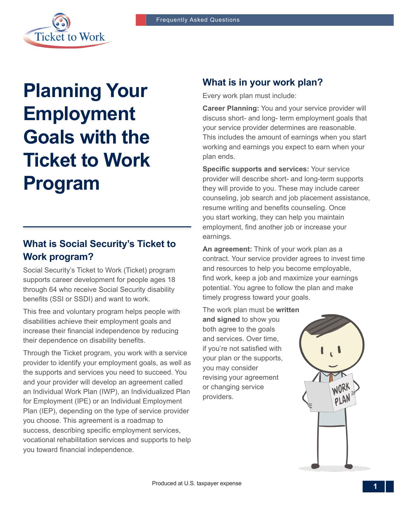

# **Planning Your Employment Goals with the Ticket to Work Program**

## **What is Social Security's Ticket to Work program?**

Social Security's Ticket to Work (Ticket) program supports career development for people ages 18 through 64 who receive Social Security disability benefits (SSI or SSDI) and want to work.

This free and voluntary program helps people with disabilities achieve their employment goals and increase their financial independence by reducing their dependence on disability benefits.

Through the Ticket program, you work with a service provider to identify your employment goals, as well as the supports and services you need to succeed. You and your provider will develop an agreement called an Individual Work Plan (IWP), an Individualized Plan for Employment (IPE) or an Individual Employment Plan (IEP), depending on the type of service provider you choose. This agreement is a roadmap to success, describing specific employment services, vocational rehabilitation services and supports to help you toward financial independence.

### **What is in your work plan?**

Every work plan must include:

**Career Planning:** You and your service provider will discuss short- and long- term employment goals that your service provider determines are reasonable. This includes the amount of earnings when you start working and earnings you expect to earn when your plan ends.

**Specific supports and services:** Your service provider will describe short- and long-term supports they will provide to you. These may include career counseling, job search and job placement assistance, resume writing and benefits counseling. Once you start working, they can help you maintain employment, find another job or increase your earnings.

**An agreement:** Think of your work plan as a contract. Your service provider agrees to invest time and resources to help you become employable, find work, keep a job and maximize your earnings potential. You agree to follow the plan and make timely progress toward your goals.

The work plan must be **written and signed** to show you both agree to the goals and services. Over time, if you're not satisfied with your plan or the supports, you may consider revising your agreement or changing service providers.